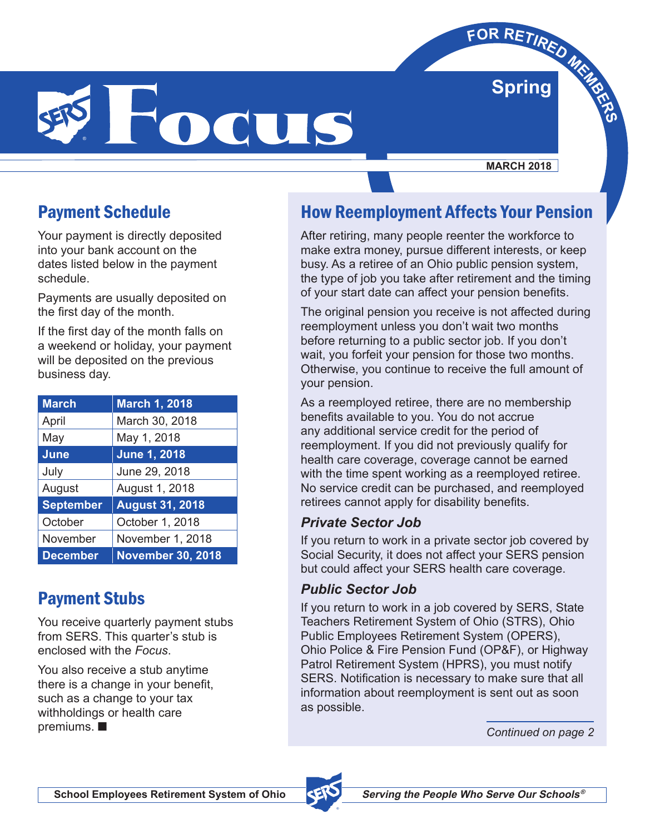**Spring E**<br>Spring<br>Bring



**MARCH 2018**

#### Payment Schedule

Your payment is directly deposited into your bank account on the dates listed below in the payment schedule.

Payments are usually deposited on the first day of the month.

If the first day of the month falls on a weekend or holiday, your payment will be deposited on the previous business day.

| <b>March</b>     | <b>March 1, 2018</b>     |  |  |  |  |
|------------------|--------------------------|--|--|--|--|
| April            | March 30, 2018           |  |  |  |  |
| May              | May 1, 2018              |  |  |  |  |
| <b>June</b>      | <b>June 1, 2018</b>      |  |  |  |  |
| July             | June 29, 2018            |  |  |  |  |
| August           | August 1, 2018           |  |  |  |  |
| <b>September</b> | <b>August 31, 2018</b>   |  |  |  |  |
| October          | October 1, 2018          |  |  |  |  |
| November         | November 1, 2018         |  |  |  |  |
| <b>December</b>  | <b>November 30, 2018</b> |  |  |  |  |

#### Payment Stubs

You receive quarterly payment stubs from SERS. This quarter's stub is enclosed with the *Focus*.

You also receive a stub anytime there is a change in your benefit, such as a change to your tax withholdings or health care premiums. ■ *Continued on page 2*

#### How Reemployment Affects Your Pension

After retiring, many people reenter the workforce to make extra money, pursue different interests, or keep busy. As a retiree of an Ohio public pension system, the type of job you take after retirement and the timing of your start date can affect your pension benefits.

The original pension you receive is not affected during reemployment unless you don't wait two months before returning to a public sector job. If you don't wait, you forfeit your pension for those two months. Otherwise, you continue to receive the full amount of your pension.

As a reemployed retiree, there are no membership benefits available to you. You do not accrue any additional service credit for the period of reemployment. If you did not previously qualify for health care coverage, coverage cannot be earned with the time spent working as a reemployed retiree. No service credit can be purchased, and reemployed retirees cannot apply for disability benefits.

#### *Private Sector Job*

If you return to work in a private sector job covered by Social Security, it does not affect your SERS pension but could affect your SERS health care coverage.

#### *Public Sector Job*

If you return to work in a job covered by SERS, State Teachers Retirement System of Ohio (STRS), Ohio Public Employees Retirement System (OPERS), Ohio Police & Fire Pension Fund (OP&F), or Highway Patrol Retirement System (HPRS), you must notify SERS. Notification is necessary to make sure that all information about reemployment is sent out as soon as possible.

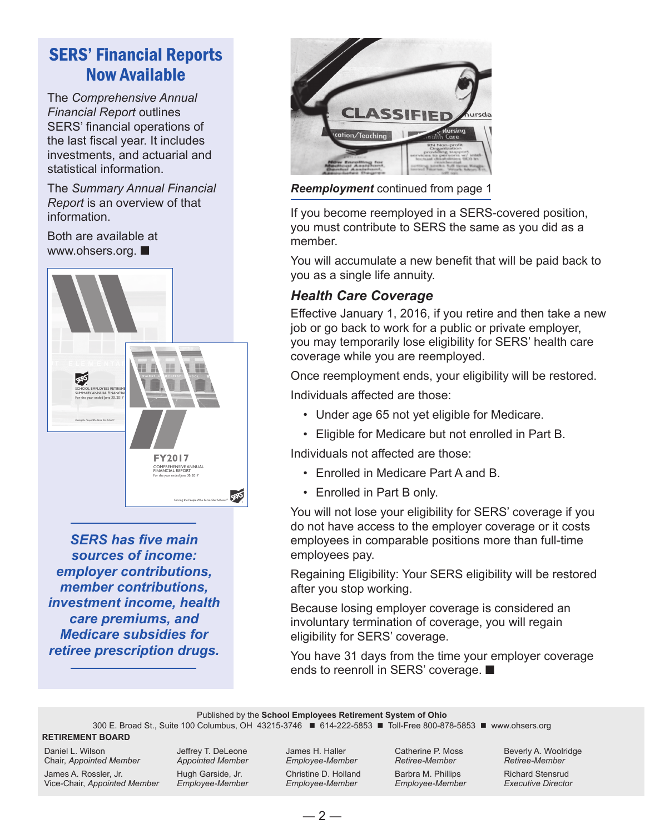#### SERS' Financial Reports Now Available

The *Comprehensive Annual Financial Report* outlines SERS' financial operations of the last fiscal year. It includes investments, and actuarial and statistical information.

The *Summary Annual Financial Report* is an overview of that information.

Both are available at www.ohsers.org. ■



*SERS has five main sources of income: employer contributions, member contributions, investment income, health care premiums, and Medicare subsidies for retiree prescription drugs.*



*Reemployment* continued from page 1

If you become reemployed in a SERS-covered position, you must contribute to SERS the same as you did as a member.

You will accumulate a new benefit that will be paid back to you as a single life annuity.

#### *Health Care Coverage*

Effective January 1, 2016, if you retire and then take a new job or go back to work for a public or private employer, you may temporarily lose eligibility for SERS' health care coverage while you are reemployed.

Once reemployment ends, your eligibility will be restored.

Individuals affected are those:

- Under age 65 not yet eligible for Medicare.
- Eligible for Medicare but not enrolled in Part B.

Individuals not affected are those:

- Enrolled in Medicare Part A and B.
- Enrolled in Part B only.

You will not lose your eligibility for SERS' coverage if you do not have access to the employer coverage or it costs employees in comparable positions more than full-time employees pay.

Regaining Eligibility: Your SERS eligibility will be restored after you stop working.

Because losing employer coverage is considered an involuntary termination of coverage, you will regain eligibility for SERS' coverage.

You have 31 days from the time your employer coverage ends to reenroll in SERS' coverage. ■

Published by the **School Employees Retirement System of Ohio**

300 E. Broad St., Suite 100 Columbus, OH 43215-3746 ■ 614-222-5853 ■ Toll-Free 800-878-5853 ■ www.ohsers.org

#### **RETIREMENT BOARD**

Daniel L. Wilson Chair, *Appointed Member*

James A. Rossler, Jr. Vice-Chair, *Appointed Member* Jeffrey T. DeLeone *Appointed Member* Hugh Garside, Jr. *Employee-Member* 

James H. Haller *Employee-Member* Christine D. Holland *Employee-Member*

Catherine P. Moss *Retiree-Member*

Barbra M. Phillips *Employee-Member*  Beverly A. Woolridge *Retiree-Member*

Richard Stensrud *Executive Director*

 $-2-$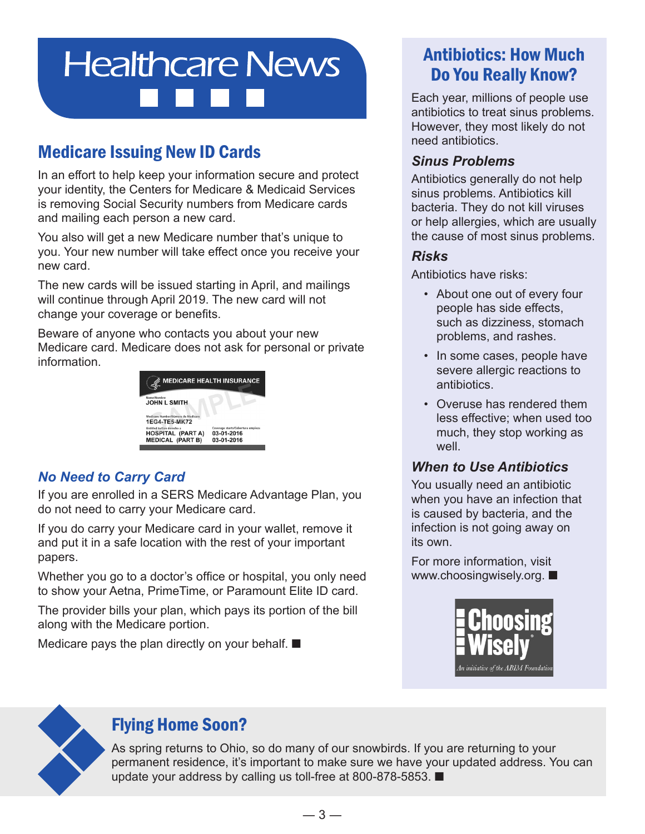# **Healthcare News**

#### Medicare Issuing New ID Cards

In an effort to help keep your information secure and protect your identity, the Centers for Medicare & Medicaid Services is removing Social Security numbers from Medicare cards and mailing each person a new card.

You also will get a new Medicare number that's unique to you. Your new number will take effect once you receive your new card.

The new cards will be issued starting in April, and mailings will continue through April 2019. The new card will not change your coverage or benefits.

Beware of anyone who contacts you about your new Medicare card. Medicare does not ask for personal or private information.



#### *No Need to Carry Card*

If you are enrolled in a SERS Medicare Advantage Plan, you do not need to carry your Medicare card.

If you do carry your Medicare card in your wallet, remove it and put it in a safe location with the rest of your important papers.

Whether you go to a doctor's office or hospital, you only need to show your Aetna, PrimeTime, or Paramount Elite ID card.

The provider bills your plan, which pays its portion of the bill along with the Medicare portion.

Medicare pays the plan directly on your behalf. ■

#### Antibiotics: How Much Do You Really Know?

Each year, millions of people use antibiotics to treat sinus problems. However, they most likely do not need antibiotics.

#### *Sinus Problems*

Antibiotics generally do not help sinus problems. Antibiotics kill bacteria. They do not kill viruses or help allergies, which are usually the cause of most sinus problems.

#### *Risks*

Antibiotics have risks:

- About one out of every four people has side effects, such as dizziness, stomach problems, and rashes.
- In some cases, people have severe allergic reactions to antibiotics.
- Overuse has rendered them less effective; when used too much, they stop working as well.

#### *When to Use Antibiotics*

You usually need an antibiotic when you have an infection that is caused by bacteria, and the infection is not going away on its own.

For more information, visit www.choosingwisely.org. ■





#### Flying Home Soon?

As spring returns to Ohio, so do many of our snowbirds. If you are returning to your permanent residence, it's important to make sure we have your updated address. You can update your address by calling us toll-free at 800-878-5853. ■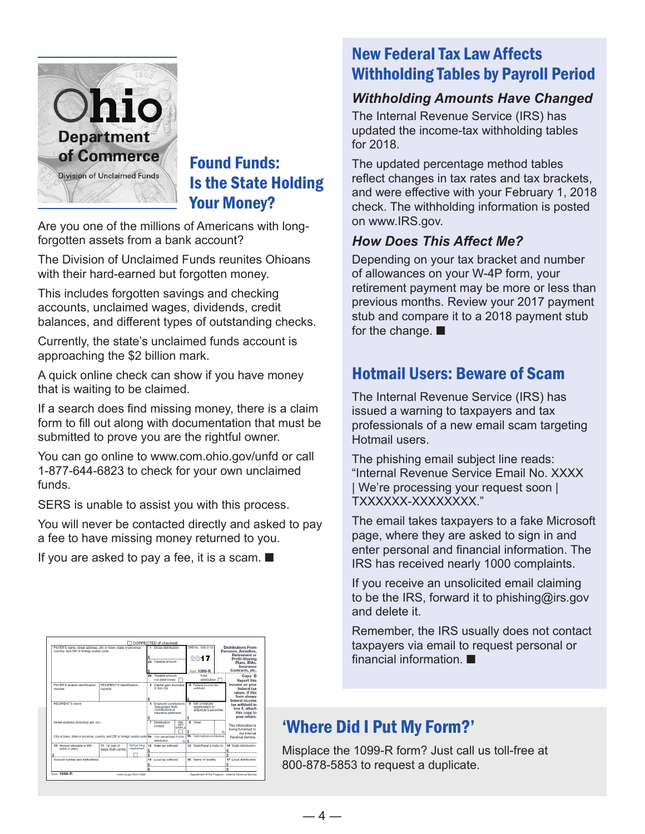

#### Found Funds: Is the State Holding Your Money?

Are you one of the millions of Americans with longforgotten assets from a bank account?

The Division of Unclaimed Funds reunites Ohioans with their hard-earned but forgotten money.

This includes forgotten savings and checking accounts, unclaimed wages, dividends, credit balances, and different types of outstanding checks.

Currently, the state's unclaimed funds account is approaching the \$2 billion mark.

A quick online check can show if you have money that is waiting to be claimed.

If a search does find missing money, there is a claim form to fill out along with documentation that must be submitted to prove you are the rightful owner.

You can go online to www.com.ohio.gov/unfd or call 1-877-644-6823 to check for your own unclaimed funds.

SERS is unable to assist you with this process.

You will never be contacted directly and asked to pay a fee to have missing money returned to you.

If you are asked to pay a fee, it is a scam.  $\blacksquare$ 

| PAYER'S name, street address, city or town, state or province.<br>country, and ZIP or foreign postal code |                                             |                                   | 1.                                                                                   | Gross distribution                                                                  |                   | OMB No. 1545-0119                                          |                       |                                                                                                                                                 | <b>Distributions From</b><br>Pensions, Annuities,              |
|-----------------------------------------------------------------------------------------------------------|---------------------------------------------|-----------------------------------|--------------------------------------------------------------------------------------|-------------------------------------------------------------------------------------|-------------------|------------------------------------------------------------|-----------------------|-------------------------------------------------------------------------------------------------------------------------------------------------|----------------------------------------------------------------|
|                                                                                                           |                                             |                                   | Taxable amount<br>l2a                                                                |                                                                                     |                   | 2017                                                       |                       | <b>Retirement or</b><br><b>Profit-Sharing</b>                                                                                                   |                                                                |
|                                                                                                           |                                             |                                   |                                                                                      |                                                                                     |                   | Form 1099-R                                                |                       |                                                                                                                                                 | Plans, IRAs,<br>Insurance<br>Contracts, etc.                   |
|                                                                                                           |                                             |                                   | 2 <sub>h</sub>                                                                       | Taxable amount<br>not determined                                                    |                   |                                                            | Total<br>distribution |                                                                                                                                                 | Copy B<br><b>Report this</b>                                   |
| PAYER'S federal identification<br>number                                                                  | <b>RECIPIENT'S Identification</b><br>number |                                   | s                                                                                    | 3 Capital gain (included<br>in box 2a)                                              |                   | <b>Infections</b>                                          | Federal income tax    |                                                                                                                                                 | income on your<br>federal tax<br>return. If this<br>form shows |
| <b>RECIPIENT'S name</b>                                                                                   |                                             | 5<br>s                            | Employee contributions<br>/Designated Roth<br>contributions or<br>insurance premiums |                                                                                     | $\overline{6}$    | Net unrealized<br>appreciation in<br>employer's securities |                       | federal income<br>tax withheld in<br>box 4, attach<br>this copy to<br>your return.<br>This information is<br>being furnished to<br>the Internal |                                                                |
| Street address (including apt. no.)                                                                       |                                             | 7                                 | <b>Distribution</b><br>code(s)                                                       | <b>IRA</b><br><b>SIMPLE</b>                                                         | s<br>8 Other<br>Ś |                                                            |                       |                                                                                                                                                 |                                                                |
| City or town, state or province, country, and ZIP or foreign postal code 9a                               |                                             |                                   |                                                                                      | 9b<br>Total employee contributions<br>Your percentage of total<br>distribution<br>% |                   |                                                            | Revenue Service.      |                                                                                                                                                 |                                                                |
| 10 Amount allocable to IRR<br>within 5 years                                                              | 11 1st year of<br>desig. Roth contrib       | <b>FATCA films</b><br>requirement |                                                                                      | 12 State tax withheld                                                               |                   | 13 State/Paver's state no.                                 |                       |                                                                                                                                                 | 14 State distribution                                          |
| s<br>Account number (see instructions)                                                                    |                                             |                                   | 15                                                                                   | Local tax withheld                                                                  |                   | 16 Name of locality                                        |                       |                                                                                                                                                 | 17 Local distribution                                          |
|                                                                                                           |                                             |                                   | Ś                                                                                    |                                                                                     |                   |                                                            |                       |                                                                                                                                                 | Ś<br>Ś.                                                        |
| Form 1099-R                                                                                               |                                             | www.irs.gov/form1099r             |                                                                                      |                                                                                     |                   |                                                            |                       |                                                                                                                                                 | Department of the Treasury - Internal Revenue Service          |

#### New Federal Tax Law Affects Withholding Tables by Payroll Period

#### *Withholding Amounts Have Changed*

The Internal Revenue Service (IRS) has updated the income-tax withholding tables for 2018.

The updated percentage method tables reflect changes in tax rates and tax brackets, and were effective with your February 1, 2018 check. The withholding information is posted on www.IRS.gov.

#### *How Does This Affect Me?*

Depending on your tax bracket and number of allowances on your W-4P form, your retirement payment may be more or less than previous months. Review your 2017 payment stub and compare it to a 2018 payment stub for the change. ■

#### Hotmail Users: Beware of Scam

The Internal Revenue Service (IRS) has issued a warning to taxpayers and tax professionals of a new email scam targeting Hotmail users.

The phishing email subject line reads: "Internal Revenue Service Email No. XXXX | We're processing your request soon | TXXXXXX-XXXXXXXX."

The email takes taxpayers to a fake Microsoft page, where they are asked to sign in and enter personal and financial information. The IRS has received nearly 1000 complaints.

If you receive an unsolicited email claiming to be the IRS, forward it to phishing@irs.gov and delete it.

Remember, the IRS usually does not contact taxpayers via email to request personal or financial information. ■

#### 'Where Did I Put My Form?'

Misplace the 1099-R form? Just call us toll-free at 800-878-5853 to request a duplicate.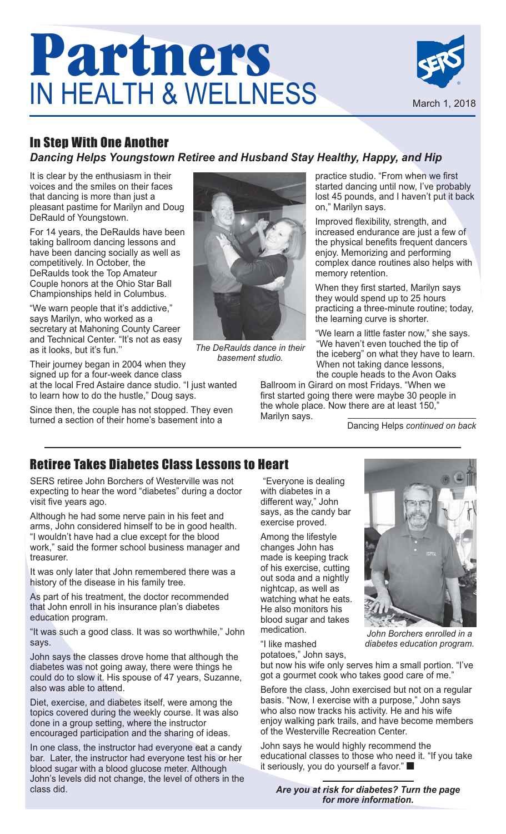## **Partners**  IN HEALTH & WELLNESS



### In Step With One Another

#### *Dancing Helps Youngstown Retiree and Husband Stay Healthy, Happy, and Hip*

It is clear by the enthusiasm in their voices and the smiles on their faces that dancing is more than just a pleasant pastime for Marilyn and Doug DeRauld of Youngstown.

For 14 years, the DeRaulds have been taking ballroom dancing lessons and have been dancing socially as well as competitively. In October, the DeRaulds took the Top Amateur Couple honors at the Ohio Star Ball Championships held in Columbus.

"We warn people that it's addictive," says Marilyn, who worked as a secretary at Mahoning County Career and Technical Center. "It's not as easy as it looks, but it's fun.''

Their journey began in 2004 when they signed up for a four-week dance class at the local Fred Astaire dance studio. "I just wanted to learn how to do the hustle," Doug says.

Since then, the couple has not stopped. They even turned a section of their home's basement into a



*The DeRaulds dance in their basement studio.*

practice studio. "From when we first started dancing until now, I've probably lost 45 pounds, and I haven't put it back on," Marilyn says.

Improved flexibility, strength, and increased endurance are just a few of the physical benefits frequent dancers enjoy. Memorizing and performing complex dance routines also helps with memory retention.

When they first started, Marilyn says they would spend up to 25 hours practicing a three-minute routine; today, the learning curve is shorter.

"We learn a little faster now," she says. "We haven't even touched the tip of the iceberg" on what they have to learn. When not taking dance lessons, the couple heads to the Avon Oaks

Ballroom in Girard on most Fridays. "When we first started going there were maybe 30 people in the whole place. Now there are at least 150," Marilyn says.

Dancing Helps *continued on back*

#### Retiree Takes Diabetes Class Lessons to Heart

SERS retiree John Borchers of Westerville was not expecting to hear the word "diabetes" during a doctor visit five years ago.

Although he had some nerve pain in his feet and arms, John considered himself to be in good health. "I wouldn't have had a clue except for the blood work," said the former school business manager and treasurer.

It was only later that John remembered there was a history of the disease in his family tree.

As part of his treatment, the doctor recommended that John enroll in his insurance plan's diabetes education program.

"It was such a good class. It was so worthwhile," John says.

John says the classes drove home that although the diabetes was not going away, there were things he could do to slow it. His spouse of 47 years, Suzanne, also was able to attend.

Diet, exercise, and diabetes itself, were among the topics covered during the weekly course. It was also done in a group setting, where the instructor encouraged participation and the sharing of ideas.

In one class, the instructor had everyone eat a candy bar. Later, the instructor had everyone test his or her blood sugar with a blood glucose meter. Although John's levels did not change, the level of others in the class did.

"Everyone is dealing with diabetes in a different way," John says, as the candy bar exercise proved.

Among the lifestyle changes John has made is keeping track of his exercise, cutting out soda and a nightly nightcap, as well as watching what he eats. He also monitors his blood sugar and takes medication.



*John Borchers enrolled in a diabetes education program.*

"I like mashed

potatoes," John says, but now his wife only serves him a small portion. "I've got a gourmet cook who takes good care of me."

Before the class, John exercised but not on a regular basis. "Now, I exercise with a purpose," John says who also now tracks his activity. He and his wife enjoy walking park trails, and have become members of the Westerville Recreation Center.

John says he would highly recommend the educational classes to those who need it. "If you take it seriously, you do yourself a favor." ■

*Are you at risk for diabetes? Turn the page for more information.*